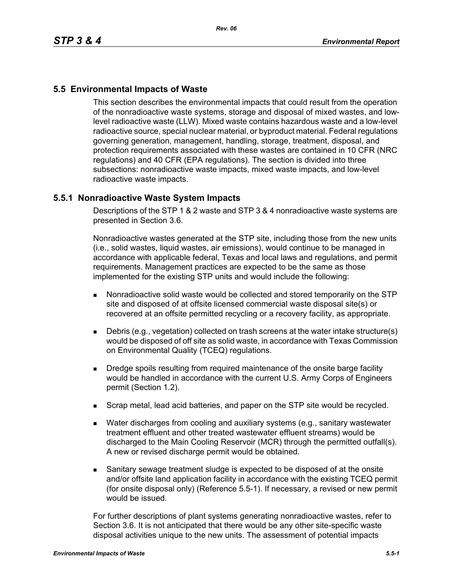## **5.5 Environmental Impacts of Waste**

This section describes the environmental impacts that could result from the operation of the nonradioactive waste systems, storage and disposal of mixed wastes, and lowlevel radioactive waste (LLW). Mixed waste contains hazardous waste and a low-level radioactive source, special nuclear material, or byproduct material. Federal regulations governing generation, management, handling, storage, treatment, disposal, and protection requirements associated with these wastes are contained in 10 CFR (NRC regulations) and 40 CFR (EPA regulations). The section is divided into three subsections: nonradioactive waste impacts, mixed waste impacts, and low-level radioactive waste impacts.

## **5.5.1 Nonradioactive Waste System Impacts**

Descriptions of the STP 1 & 2 waste and STP 3 & 4 nonradioactive waste systems are presented in Section 3.6.

Nonradioactive wastes generated at the STP site, including those from the new units (i.e., solid wastes, liquid wastes, air emissions), would continue to be managed in accordance with applicable federal, Texas and local laws and regulations, and permit requirements. Management practices are expected to be the same as those implemented for the existing STP units and would include the following:

- Nonradioactive solid waste would be collected and stored temporarily on the STP site and disposed of at offsite licensed commercial waste disposal site(s) or recovered at an offsite permitted recycling or a recovery facility, as appropriate.
- Debris (e.g., vegetation) collected on trash screens at the water intake structure(s) would be disposed of off site as solid waste, in accordance with Texas Commission on Environmental Quality (TCEQ) regulations.
- **Dredge spoils resulting from required maintenance of the onsite barge facility** would be handled in accordance with the current U.S. Army Corps of Engineers permit (Section 1.2).
- **Scrap metal, lead acid batteries, and paper on the STP site would be recycled.**
- Water discharges from cooling and auxiliary systems (e.g., sanitary wastewater treatment effluent and other treated wastewater effluent streams) would be discharged to the Main Cooling Reservoir (MCR) through the permitted outfall(s). A new or revised discharge permit would be obtained.
- Sanitary sewage treatment sludge is expected to be disposed of at the onsite and/or offsite land application facility in accordance with the existing TCEQ permit (for onsite disposal only) (Reference 5.5-1). If necessary, a revised or new permit would be issued.

For further descriptions of plant systems generating nonradioactive wastes, refer to Section 3.6. It is not anticipated that there would be any other site-specific waste disposal activities unique to the new units. The assessment of potential impacts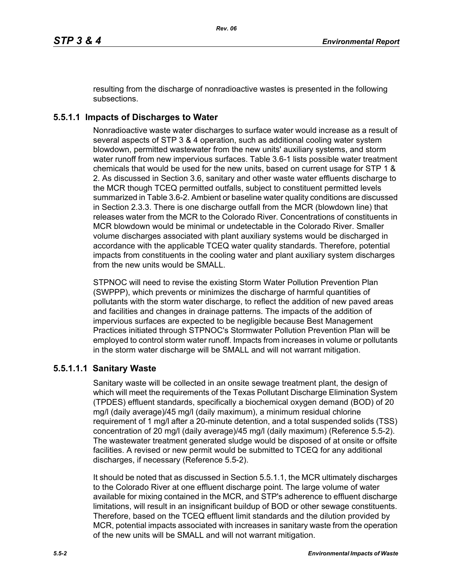resulting from the discharge of nonradioactive wastes is presented in the following subsections.

# **5.5.1.1 Impacts of Discharges to Water**

Nonradioactive waste water discharges to surface water would increase as a result of several aspects of STP 3 & 4 operation, such as additional cooling water system blowdown, permitted wastewater from the new units' auxiliary systems, and storm water runoff from new impervious surfaces. Table 3.6-1 lists possible water treatment chemicals that would be used for the new units, based on current usage for STP 1 & 2. As discussed in Section 3.6, sanitary and other waste water effluents discharge to the MCR though TCEQ permitted outfalls, subject to constituent permitted levels summarized in Table 3.6-2. Ambient or baseline water quality conditions are discussed in Section 2.3.3. There is one discharge outfall from the MCR (blowdown line) that releases water from the MCR to the Colorado River. Concentrations of constituents in MCR blowdown would be minimal or undetectable in the Colorado River. Smaller volume discharges associated with plant auxiliary systems would be discharged in accordance with the applicable TCEQ water quality standards. Therefore, potential impacts from constituents in the cooling water and plant auxiliary system discharges from the new units would be SMALL.

STPNOC will need to revise the existing Storm Water Pollution Prevention Plan (SWPPP), which prevents or minimizes the discharge of harmful quantities of pollutants with the storm water discharge, to reflect the addition of new paved areas and facilities and changes in drainage patterns. The impacts of the addition of impervious surfaces are expected to be negligible because Best Management Practices initiated through STPNOC's Stormwater Pollution Prevention Plan will be employed to control storm water runoff. Impacts from increases in volume or pollutants in the storm water discharge will be SMALL and will not warrant mitigation.

## **5.5.1.1.1 Sanitary Waste**

Sanitary waste will be collected in an onsite sewage treatment plant, the design of which will meet the requirements of the Texas Pollutant Discharge Elimination System (TPDES) effluent standards, specifically a biochemical oxygen demand (BOD) of 20 mg/l (daily average)/45 mg/l (daily maximum), a minimum residual chlorine requirement of 1 mg/l after a 20-minute detention, and a total suspended solids (TSS) concentration of 20 mg/l (daily average)/45 mg/l (daily maximum) (Reference 5.5-2). The wastewater treatment generated sludge would be disposed of at onsite or offsite facilities. A revised or new permit would be submitted to TCEQ for any additional discharges, if necessary (Reference 5.5-2).

It should be noted that as discussed in Section 5.5.1.1, the MCR ultimately discharges to the Colorado River at one effluent discharge point. The large volume of water available for mixing contained in the MCR, and STP's adherence to effluent discharge limitations, will result in an insignificant buildup of BOD or other sewage constituents. Therefore, based on the TCEQ effluent limit standards and the dilution provided by MCR, potential impacts associated with increases in sanitary waste from the operation of the new units will be SMALL and will not warrant mitigation.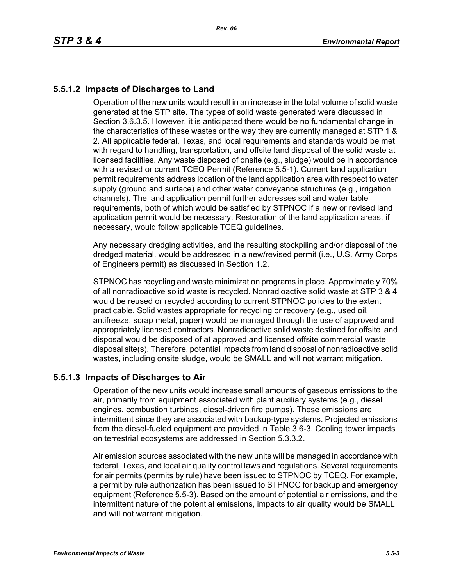# **5.5.1.2 Impacts of Discharges to Land**

Operation of the new units would result in an increase in the total volume of solid waste generated at the STP site. The types of solid waste generated were discussed in Section 3.6.3.5. However, it is anticipated there would be no fundamental change in the characteristics of these wastes or the way they are currently managed at STP 1 & 2. All applicable federal, Texas, and local requirements and standards would be met with regard to handling, transportation, and offsite land disposal of the solid waste at licensed facilities. Any waste disposed of onsite (e.g., sludge) would be in accordance with a revised or current TCEQ Permit (Reference 5.5-1). Current land application permit requirements address location of the land application area with respect to water supply (ground and surface) and other water conveyance structures (e.g., irrigation channels). The land application permit further addresses soil and water table requirements, both of which would be satisfied by STPNOC if a new or revised land application permit would be necessary. Restoration of the land application areas, if necessary, would follow applicable TCEQ guidelines.

Any necessary dredging activities, and the resulting stockpiling and/or disposal of the dredged material, would be addressed in a new/revised permit (i.e., U.S. Army Corps of Engineers permit) as discussed in Section 1.2.

STPNOC has recycling and waste minimization programs in place. Approximately 70% of all nonradioactive solid waste is recycled. Nonradioactive solid waste at STP 3 & 4 would be reused or recycled according to current STPNOC policies to the extent practicable. Solid wastes appropriate for recycling or recovery (e.g., used oil, antifreeze, scrap metal, paper) would be managed through the use of approved and appropriately licensed contractors. Nonradioactive solid waste destined for offsite land disposal would be disposed of at approved and licensed offsite commercial waste disposal site(s). Therefore, potential impacts from land disposal of nonradioactive solid wastes, including onsite sludge, would be SMALL and will not warrant mitigation.

## **5.5.1.3 Impacts of Discharges to Air**

Operation of the new units would increase small amounts of gaseous emissions to the air, primarily from equipment associated with plant auxiliary systems (e.g., diesel engines, combustion turbines, diesel-driven fire pumps). These emissions are intermittent since they are associated with backup-type systems. Projected emissions from the diesel-fueled equipment are provided in Table 3.6-3. Cooling tower impacts on terrestrial ecosystems are addressed in Section 5.3.3.2.

Air emission sources associated with the new units will be managed in accordance with federal, Texas, and local air quality control laws and regulations. Several requirements for air permits (permits by rule) have been issued to STPNOC by TCEQ. For example, a permit by rule authorization has been issued to STPNOC for backup and emergency equipment (Reference 5.5-3). Based on the amount of potential air emissions, and the intermittent nature of the potential emissions, impacts to air quality would be SMALL and will not warrant mitigation.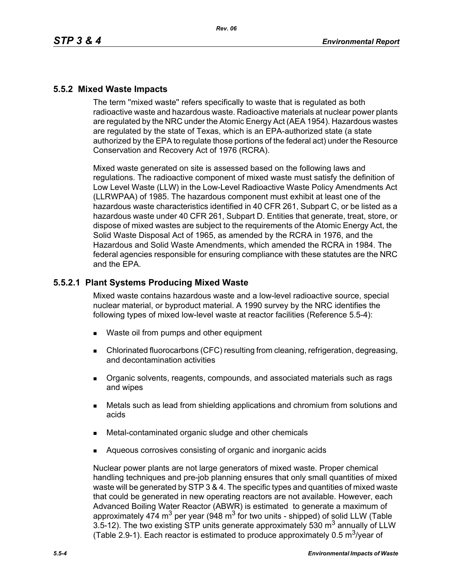## **5.5.2 Mixed Waste Impacts**

The term ''mixed waste'' refers specifically to waste that is regulated as both radioactive waste and hazardous waste. Radioactive materials at nuclear power plants are regulated by the NRC under the Atomic Energy Act (AEA 1954). Hazardous wastes are regulated by the state of Texas, which is an EPA-authorized state (a state authorized by the EPA to regulate those portions of the federal act) under the Resource Conservation and Recovery Act of 1976 (RCRA).

Mixed waste generated on site is assessed based on the following laws and regulations. The radioactive component of mixed waste must satisfy the definition of Low Level Waste (LLW) in the Low-Level Radioactive Waste Policy Amendments Act (LLRWPAA) of 1985. The hazardous component must exhibit at least one of the hazardous waste characteristics identified in 40 CFR 261, Subpart C, or be listed as a hazardous waste under 40 CFR 261, Subpart D. Entities that generate, treat, store, or dispose of mixed wastes are subject to the requirements of the Atomic Energy Act, the Solid Waste Disposal Act of 1965, as amended by the RCRA in 1976, and the Hazardous and Solid Waste Amendments, which amended the RCRA in 1984. The federal agencies responsible for ensuring compliance with these statutes are the NRC and the EPA.

## **5.5.2.1 Plant Systems Producing Mixed Waste**

Mixed waste contains hazardous waste and a low-level radioactive source, special nuclear material, or byproduct material. A 1990 survey by the NRC identifies the following types of mixed low-level waste at reactor facilities (Reference 5.5-4):

- Waste oil from pumps and other equipment
- Chlorinated fluorocarbons (CFC) resulting from cleaning, refrigeration, degreasing, and decontamination activities
- **Dreamic solvents, reagents, compounds, and associated materials such as rags** and wipes
- Metals such as lead from shielding applications and chromium from solutions and acids
- Metal-contaminated organic sludge and other chemicals
- Aqueous corrosives consisting of organic and inorganic acids

Nuclear power plants are not large generators of mixed waste. Proper chemical handling techniques and pre-job planning ensures that only small quantities of mixed waste will be generated by STP 3 & 4. The specific types and quantities of mixed waste that could be generated in new operating reactors are not available. However, each Advanced Boiling Water Reactor (ABWR) is estimated to generate a maximum of approximately 474 m<sup>3</sup> per year (948 m<sup>3</sup> for two units - shipped) of solid LLW (Table 3.5-12). The two existing STP units generate approximately 530  $m<sup>3</sup>$  annually of LLW (Table 2.9-1). Each reactor is estimated to produce approximately 0.5  $\mathrm{m}^3$ /year of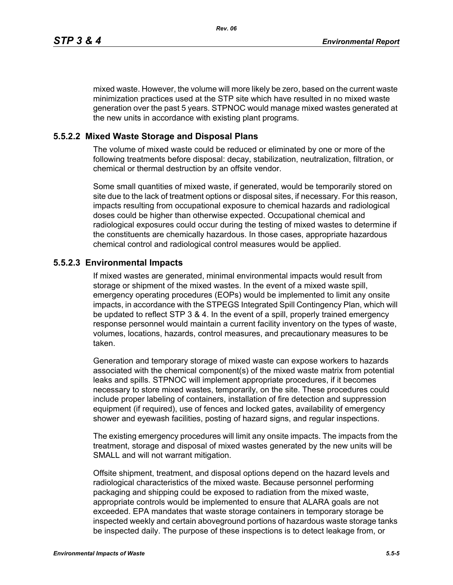mixed waste. However, the volume will more likely be zero, based on the current waste minimization practices used at the STP site which have resulted in no mixed waste generation over the past 5 years. STPNOC would manage mixed wastes generated at the new units in accordance with existing plant programs.

#### **5.5.2.2 Mixed Waste Storage and Disposal Plans**

The volume of mixed waste could be reduced or eliminated by one or more of the following treatments before disposal: decay, stabilization, neutralization, filtration, or chemical or thermal destruction by an offsite vendor.

Some small quantities of mixed waste, if generated, would be temporarily stored on site due to the lack of treatment options or disposal sites, if necessary. For this reason, impacts resulting from occupational exposure to chemical hazards and radiological doses could be higher than otherwise expected. Occupational chemical and radiological exposures could occur during the testing of mixed wastes to determine if the constituents are chemically hazardous. In those cases, appropriate hazardous chemical control and radiological control measures would be applied.

#### **5.5.2.3 Environmental Impacts**

If mixed wastes are generated, minimal environmental impacts would result from storage or shipment of the mixed wastes. In the event of a mixed waste spill, emergency operating procedures (EOPs) would be implemented to limit any onsite impacts, in accordance with the STPEGS Integrated Spill Contingency Plan, which will be updated to reflect STP 3 & 4. In the event of a spill, properly trained emergency response personnel would maintain a current facility inventory on the types of waste, volumes, locations, hazards, control measures, and precautionary measures to be taken.

Generation and temporary storage of mixed waste can expose workers to hazards associated with the chemical component(s) of the mixed waste matrix from potential leaks and spills. STPNOC will implement appropriate procedures, if it becomes necessary to store mixed wastes, temporarily, on the site. These procedures could include proper labeling of containers, installation of fire detection and suppression equipment (if required), use of fences and locked gates, availability of emergency shower and eyewash facilities, posting of hazard signs, and regular inspections.

The existing emergency procedures will limit any onsite impacts. The impacts from the treatment, storage and disposal of mixed wastes generated by the new units will be SMALL and will not warrant mitigation.

Offsite shipment, treatment, and disposal options depend on the hazard levels and radiological characteristics of the mixed waste. Because personnel performing packaging and shipping could be exposed to radiation from the mixed waste, appropriate controls would be implemented to ensure that ALARA goals are not exceeded. EPA mandates that waste storage containers in temporary storage be inspected weekly and certain aboveground portions of hazardous waste storage tanks be inspected daily. The purpose of these inspections is to detect leakage from, or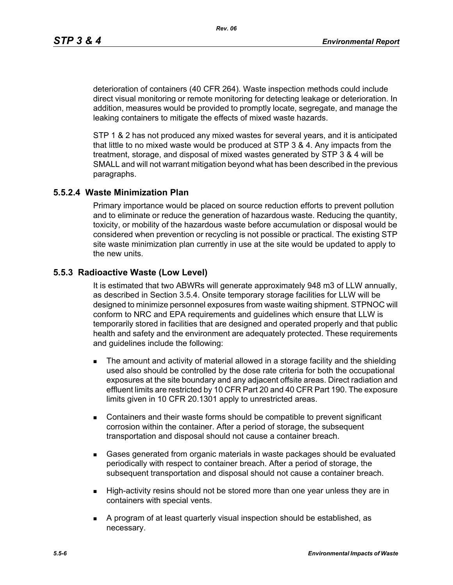deterioration of containers (40 CFR 264). Waste inspection methods could include direct visual monitoring or remote monitoring for detecting leakage or deterioration. In addition, measures would be provided to promptly locate, segregate, and manage the leaking containers to mitigate the effects of mixed waste hazards.

STP 1 & 2 has not produced any mixed wastes for several years, and it is anticipated that little to no mixed waste would be produced at STP 3 & 4. Any impacts from the treatment, storage, and disposal of mixed wastes generated by STP 3 & 4 will be SMALL and will not warrant mitigation beyond what has been described in the previous paragraphs.

#### **5.5.2.4 Waste Minimization Plan**

Primary importance would be placed on source reduction efforts to prevent pollution and to eliminate or reduce the generation of hazardous waste. Reducing the quantity, toxicity, or mobility of the hazardous waste before accumulation or disposal would be considered when prevention or recycling is not possible or practical. The existing STP site waste minimization plan currently in use at the site would be updated to apply to the new units.

#### **5.5.3 Radioactive Waste (Low Level)**

It is estimated that two ABWRs will generate approximately 948 m3 of LLW annually, as described in Section 3.5.4. Onsite temporary storage facilities for LLW will be designed to minimize personnel exposures from waste waiting shipment. STPNOC will conform to NRC and EPA requirements and guidelines which ensure that LLW is temporarily stored in facilities that are designed and operated properly and that public health and safety and the environment are adequately protected. These requirements and guidelines include the following:

- **The amount and activity of material allowed in a storage facility and the shielding** used also should be controlled by the dose rate criteria for both the occupational exposures at the site boundary and any adjacent offsite areas. Direct radiation and effluent limits are restricted by 10 CFR Part 20 and 40 CFR Part 190. The exposure limits given in 10 CFR 20.1301 apply to unrestricted areas.
- Containers and their waste forms should be compatible to prevent significant corrosion within the container. After a period of storage, the subsequent transportation and disposal should not cause a container breach.
- Gases generated from organic materials in waste packages should be evaluated periodically with respect to container breach. After a period of storage, the subsequent transportation and disposal should not cause a container breach.
- **High-activity resins should not be stored more than one year unless they are in** containers with special vents.
- A program of at least quarterly visual inspection should be established, as necessary.